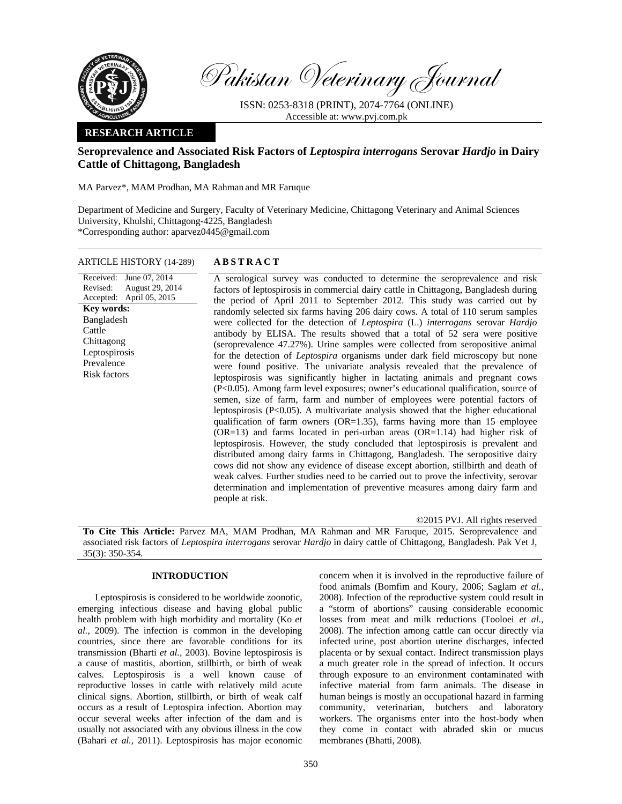

Pakistan Veterinary Journal

ISSN: 0253-8318 (PRINT), 2074-7764 (ONLINE) Accessible at: www.pvj.com.pk

# **RESEARCH ARTICLE**

# **Seroprevalence and Associated Risk Factors of** *Leptospira interrogans* **Serovar** *Hardjo* **in Dairy Cattle of Chittagong, Bangladesh**

MA Parvez\*, MAM Prodhan, MA Rahman and MR Faruque

Department of Medicine and Surgery, Faculty of Veterinary Medicine, Chittagong Veterinary and Animal Sciences University, Khulshi, Chittagong-4225, Bangladesh \*Corresponding author: aparvez0445@gmail.com

# ARTICLE HISTORY (14-289) **ABSTRACT**

Received: Revised: Accepted: April 05, 2015 June 07, 2014 August 29, 2014 **Key words:**  Bangladesh Cattle Chittagong Leptospirosis Prevalence Risk factors

 A serological survey was conducted to determine the seroprevalence and risk factors of leptospirosis in commercial dairy cattle in Chittagong, Bangladesh during the period of April 2011 to September 2012. This study was carried out by randomly selected six farms having 206 dairy cows. A total of 110 serum samples were collected for the detection of *Leptospira* (L.) *interrogans* serovar *Hardjo* antibody by ELISA. The results showed that a total of 52 sera were positive (seroprevalence 47.27%). Urine samples were collected from seropositive animal for the detection of *Leptospira* organisms under dark field microscopy but none were found positive. The univariate analysis revealed that the prevalence of leptospirosis was significantly higher in lactating animals and pregnant cows (P<0.05). Among farm level exposures; owner's educational qualification, source of semen, size of farm, farm and number of employees were potential factors of leptospirosis (P<0.05). A multivariate analysis showed that the higher educational qualification of farm owners ( $OR=1.35$ ), farms having more than 15 employee (OR=13) and farms located in peri-urban areas (OR=1.14) had higher risk of leptospirosis. However, the study concluded that leptospirosis is prevalent and distributed among dairy farms in Chittagong, Bangladesh. The seropositive dairy cows did not show any evidence of disease except abortion, stillbirth and death of weak calves. Further studies need to be carried out to prove the infectivity, serovar determination and implementation of preventive measures among dairy farm and people at risk.

©2015 PVJ. All rights reserved **To Cite This Article:** Parvez MA, MAM Prodhan, MA Rahman and MR Faruque, 2015. Seroprevalence and associated risk factors of *Leptospira interrogans* serovar *Hardjo* in dairy cattle of Chittagong, Bangladesh. Pak Vet J, 35(3): 350-354.

# **INTRODUCTION**

Leptospirosis is considered to be worldwide zoonotic, emerging infectious disease and having global public health problem with high morbidity and mortality (Ko *et al.,* 2009). The infection is common in the developing countries, since there are favorable conditions for its transmission (Bharti *et al.,* 2003). Bovine leptospirosis is a cause of mastitis, abortion, stillbirth, or birth of weak calves. Leptospirosis is a well known cause of reproductive losses in cattle with relatively mild acute clinical signs. Abortion, stillbirth, or birth of weak calf occurs as a result of Leptospira infection. Abortion may occur several weeks after infection of the dam and is usually not associated with any obvious illness in the cow (Bahari *et al.,* 2011). Leptospirosis has major economic

concern when it is involved in the reproductive failure of food animals (Bomfim and Koury, 2006; Saglam *et al.,* 2008). Infection of the reproductive system could result in a "storm of abortions" causing considerable economic losses from meat and milk reductions (Tooloei *et al.,* 2008). The infection among cattle can occur directly via infected urine, post abortion uterine discharges, infected placenta or by sexual contact. Indirect transmission plays a much greater role in the spread of infection. It occurs through exposure to an environment contaminated with infective material from farm animals. The disease in human beings is mostly an occupational hazard in farming community, veterinarian, butchers and laboratory workers. The organisms enter into the host-body when they come in contact with abraded skin or mucus membranes (Bhatti, 2008).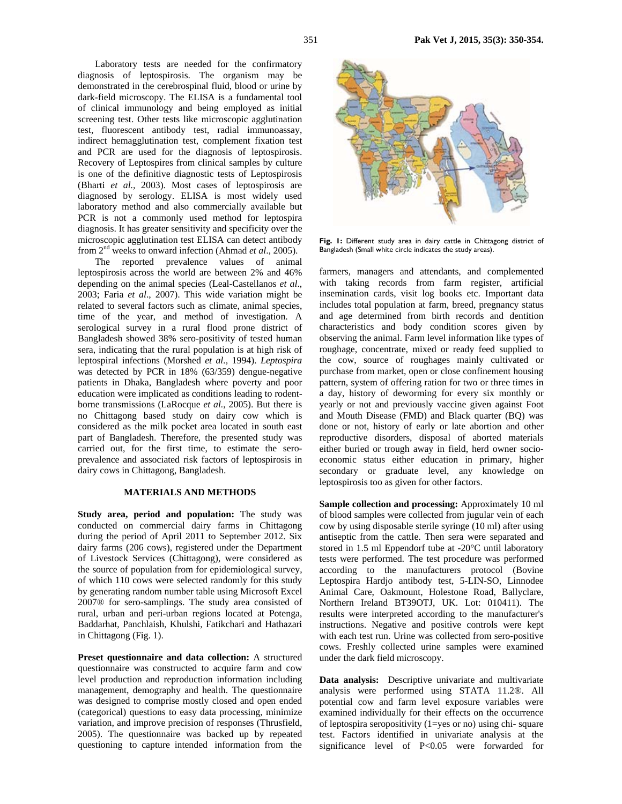Laboratory tests are needed for the confirmatory diagnosis of leptospirosis. The organism may be demonstrated in the cerebrospinal fluid, blood or urine by dark-field microscopy. The ELISA is a fundamental tool of clinical immunology and being employed as initial screening test. Other tests like microscopic agglutination test, fluorescent antibody test, radial immunoassay, indirect hemagglutination test, complement fixation test and PCR are used for the diagnosis of leptospirosis. Recovery of Leptospires from clinical samples by culture is one of the definitive diagnostic tests of Leptospirosis (Bharti *et al.,* 2003). Most cases of leptospirosis are diagnosed by serology. ELISA is most widely used laboratory method and also commercially available but PCR is not a commonly used method for leptospira diagnosis. It has greater sensitivity and specificity over the microscopic agglutination test ELISA can detect antibody from 2nd weeks to onward infection (Ahmad *et al*., 2005).

The reported prevalence values of animal leptospirosis across the world are between 2% and 46% depending on the animal species (Leal-Castellanos *et al*., 2003; Faria *et al*., 2007). This wide variation might be related to several factors such as climate, animal species, time of the year, and method of investigation. A serological survey in a rural flood prone district of Bangladesh showed 38% sero-positivity of tested human sera, indicating that the rural population is at high risk of leptospiral infections (Morshed *et al.,* 1994). *Leptospira*  was detected by PCR in 18% (63/359) dengue-negative patients in Dhaka, Bangladesh where poverty and poor education were implicated as conditions leading to rodentborne transmissions (LaRocque *et al.*, 2005). But there is no Chittagong based study on dairy cow which is considered as the milk pocket area located in south east part of Bangladesh. Therefore, the presented study was carried out, for the first time, to estimate the seroprevalence and associated risk factors of leptospirosis in dairy cows in Chittagong, Bangladesh.

#### **MATERIALS AND METHODS**

**Study area, period and population:** The study was conducted on commercial dairy farms in Chittagong during the period of April 2011 to September 2012. Six dairy farms (206 cows), registered under the Department of Livestock Services (Chittagong), were considered as the source of population from for epidemiological survey, of which 110 cows were selected randomly for this study by generating random number table using Microsoft Excel 2007® for sero-samplings. The study area consisted of rural, urban and peri-urban regions located at Potenga, Baddarhat, Panchlaish, Khulshi, Fatikchari and Hathazari in Chittagong (Fig. 1).

**Preset questionnaire and data collection:** A structured questionnaire was constructed to acquire farm and cow level production and reproduction information including management, demography and health. The questionnaire was designed to comprise mostly closed and open ended (categorical) questions to easy data processing, minimize variation, and improve precision of responses (Thrusfield, 2005). The questionnaire was backed up by repeated questioning to capture intended information from the





Fig. 1: Different study area in dairy cattle in Chittagong district of Bangladesh (Small white circle indicates the study areas).

farmers, managers and attendants, and complemented with taking records from farm register, artificial insemination cards, visit log books etc. Important data includes total population at farm, breed, pregnancy status and age determined from birth records and dentition characteristics and body condition scores given by observing the animal. Farm level information like types of roughage, concentrate, mixed or ready feed supplied to the cow, source of roughages mainly cultivated or purchase from market, open or close confinement housing pattern, system of offering ration for two or three times in a day, history of deworming for every six monthly or yearly or not and previously vaccine given against Foot and Mouth Disease (FMD) and Black quarter (BQ) was done or not, history of early or late abortion and other reproductive disorders, disposal of aborted materials either buried or trough away in field, herd owner socioeconomic status either education in primary, higher secondary or graduate level, any knowledge on leptospirosis too as given for other factors.

**Sample collection and processing:** Approximately 10 ml of blood samples were collected from jugular vein of each cow by using disposable sterile syringe (10 ml) after using antiseptic from the cattle. Then sera were separated and stored in 1.5 ml Eppendorf tube at -20°C until laboratory tests were performed. The test procedure was performed according to the manufacturers protocol (Bovine Leptospira Hardjo antibody test, 5-LIN-SO, Linnodee Animal Care, Oakmount, Holestone Road, Ballyclare, Northern Ireland BT39OTJ, UK. Lot: 010411). The results were interpreted according to the manufacturer's instructions. Negative and positive controls were kept with each test run. Urine was collected from sero-positive cows. Freshly collected urine samples were examined under the dark field microscopy.

**Data analysis:** Descriptive univariate and multivariate analysis were performed using STATA 11.2®. All potential cow and farm level exposure variables were examined individually for their effects on the occurrence of leptospira seropositivity (1=yes or no) using chi- square test. Factors identified in univariate analysis at the significance level of P<0.05 were forwarded for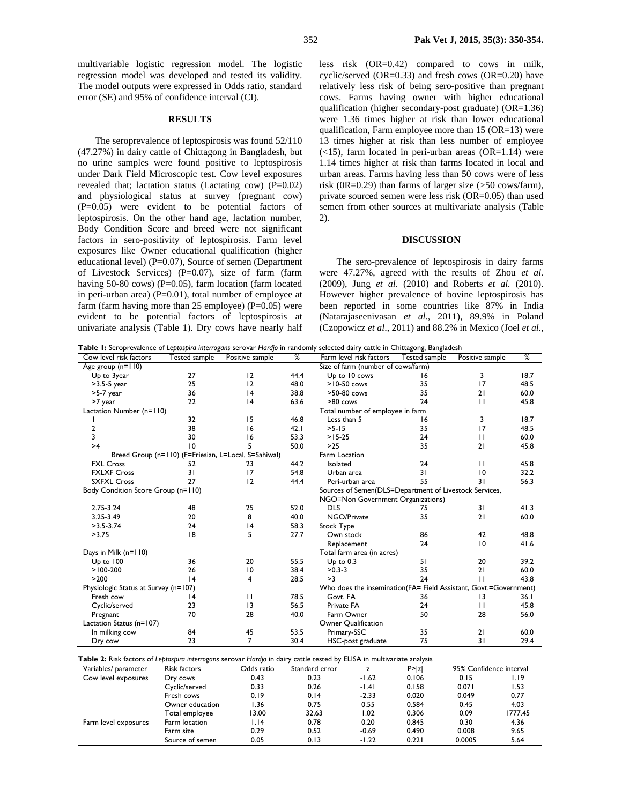multivariable logistic regression model. The logistic regression model was developed and tested its validity. The model outputs were expressed in Odds ratio, standard error (SE) and 95% of confidence interval (CI).

## **RESULTS**

The seroprevalence of leptospirosis was found 52/110 (47.27%) in dairy cattle of Chittagong in Bangladesh, but no urine samples were found positive to leptospirosis under Dark Field Microscopic test. Cow level exposures revealed that; lactation status (Lactating cow)  $(P=0.02)$ and physiological status at survey (pregnant cow) (P=0.05) were evident to be potential factors of leptospirosis. On the other hand age, lactation number, Body Condition Score and breed were not significant factors in sero-positivity of leptospirosis. Farm level exposures like Owner educational qualification (higher educational level) (P=0.07), Source of semen (Department of Livestock Services) (P=0.07), size of farm (farm having 50-80 cows) ( $P=0.05$ ), farm location (farm located in peri-urban area)  $(P=0.01)$ , total number of employee at farm (farm having more than 25 employee)  $(P=0.05)$  were evident to be potential factors of leptospirosis at univariate analysis (Table 1). Dry cows have nearly half less risk (OR=0.42) compared to cows in milk, cyclic/served  $(OR=0.33)$  and fresh cows  $(OR=0.20)$  have relatively less risk of being sero-positive than pregnant cows. Farms having owner with higher educational qualification (higher secondary-post graduate) (OR=1.36) were 1.36 times higher at risk than lower educational qualification, Farm employee more than 15 (OR=13) were 13 times higher at risk than less number of employee  $(<15$ ), farm located in peri-urban areas  $(OR=1.14)$  were 1.14 times higher at risk than farms located in local and urban areas. Farms having less than 50 cows were of less risk (0R=0.29) than farms of larger size  $($ >50 cows/farm), private sourced semen were less risk (OR=0.05) than used semen from other sources at multivariate analysis (Table 2).

## **DISCUSSION**

The sero-prevalence of leptospirosis in dairy farms were 47.27%, agreed with the results of Zhou *et al.* (2009), Jung *et al*. (2010) and Roberts *et al.* (2010). However higher prevalence of bovine leptospirosis has been reported in some countries like 87% in India (Natarajaseenivasan *et al*., 2011), 89.9% in Poland (Czopowicz *et al*., 2011) and 88.2% in Mexico (Joel *et al.,*

**Table 1:** Seroprevalence of *Leptospira interrogans* serovar *Hardjo* in randomly selected dairy cattle in Chittagong, Bangladesh

| Cow level risk factors                               | Tested sample | Positive sample | %    | Farm level risk factors                                           | Tested sample | Positive sample | %    |  |  |
|------------------------------------------------------|---------------|-----------------|------|-------------------------------------------------------------------|---------------|-----------------|------|--|--|
| Age group (n=110)                                    |               |                 |      | Size of farm (number of cows/farm)                                |               |                 |      |  |  |
| Up to 3year                                          | 27            | 12              | 44.4 | Up to 10 cows<br>16                                               |               | 3               | 18.7 |  |  |
| $>3.5-5$ year                                        | 25            | 12              | 48.0 | $>10-50$ cows                                                     | 35            | 17              | 48.5 |  |  |
| $>5-7$ year                                          | 36            | 4               | 38.8 | 35<br>>50-80 cows                                                 |               | 21              | 60.0 |  |  |
| >7 year                                              | 22            | 4               | 63.6 | >80 cows                                                          | 24            | $\mathbf{H}$    | 45.8 |  |  |
| Lactation Number (n=110)                             |               |                 |      | Total number of employee in farm                                  |               |                 |      |  |  |
|                                                      | 32            | 15              | 46.8 | Less than 5<br>16                                                 |               | 3               | 18.7 |  |  |
| 2                                                    | 38            | 16              | 42.1 | $>5 - 15$<br>35                                                   |               | 17              | 48.5 |  |  |
| 3                                                    | 30            | 16              | 53.3 | $>15-25$<br>24                                                    |               | $\mathbf{H}$    | 60.0 |  |  |
| >4                                                   | 10            | 5               | 50.0 | $>25$<br>35                                                       |               | 21              | 45.8 |  |  |
| Breed Group (n=110) (F=Friesian, L=Local, S=Sahiwal) |               |                 |      | Farm Location                                                     |               |                 |      |  |  |
| <b>FXL Cross</b>                                     | 52            | 23              | 44.2 | Isolated                                                          | 24            | $\mathbf{H}$    | 45.8 |  |  |
| <b>FXLXF Cross</b>                                   | 31            | 17              | 54.8 | Urban area                                                        | 31            | 10              | 32.2 |  |  |
| <b>SXFXL Cross</b>                                   | 27            | 12              | 44.4 | Peri-urban area                                                   | 55            | 31              | 56.3 |  |  |
| Body Condition Score Group (n=110)                   |               |                 |      | Sources of Semen(DLS=Department of Livestock Services,            |               |                 |      |  |  |
|                                                      |               |                 |      | NGO=Non Government Organizations)                                 |               |                 |      |  |  |
| 2.75-3.24                                            | 48            | 25              | 52.0 | <b>DLS</b>                                                        | 75            | 31              | 41.3 |  |  |
| 3.25-3.49                                            | 20            | 8               | 40.0 | NGO/Private<br>35                                                 |               | 21              | 60.0 |  |  |
| $>3.5 - 3.74$                                        | 24            | 4               | 58.3 | Stock Type                                                        |               |                 |      |  |  |
| >3.75                                                | 8             | 5               | 27.7 | 86<br>Own stock                                                   |               | 42              | 48.8 |  |  |
|                                                      |               |                 |      | Replacement                                                       | 24            | 10              | 41.6 |  |  |
| Days in Milk (n=110)                                 |               |                 |      | Total farm area (in acres)                                        |               |                 |      |  |  |
| Up to 100                                            | 36            | 20              | 55.5 | $Up$ to $0.3$                                                     | 51            | 20              | 39.2 |  |  |
| $>100-200$                                           | 26            | 10              | 38.4 | $>0.3 - 3$                                                        | 35            | 21              | 60.0 |  |  |
| >200                                                 | 4             | 4               | 28.5 | >3                                                                | 24            | $\mathbf{H}$    | 43.8 |  |  |
| Physiologic Status at Survey (n=107)                 |               |                 |      | Who does the insemination (FA= Field Assistant, Govt.=Government) |               |                 |      |  |  |
| Fresh cow                                            | 4             | $\mathbf{H}$    | 78.5 | Govt. FA                                                          | 36            | 13              | 36.1 |  |  |
| Cyclic/served                                        | 23            | 3               | 56.5 | Private FA                                                        | 24            | $\mathbf{H}$    | 45.8 |  |  |
| Pregnant                                             | 70            | 28              | 40.0 | Farm Owner                                                        | 50            | 28              | 56.0 |  |  |
| Lactation Status (n=107)                             |               |                 |      | Owner Qualification                                               |               |                 |      |  |  |
| In milking cow                                       | 84            | 45              | 53.5 | Primary-SSC                                                       | 35            | 21              | 60.0 |  |  |
| Dry cow                                              | 23            | 7               | 30.4 | HSC-post graduate                                                 | 75            | 31              | 29.4 |  |  |
|                                                      |               |                 |      |                                                                   |               |                 |      |  |  |

**Table 2:** Risk factors of *Leptospira interrogans* serovar *Hardjo* in dairy cattle tested by ELISA in multivariate analysis

| Variables/ parameter | Risk factors    | Odds ratio | Standard error |         | P >  z | 95% Confidence interval |         |
|----------------------|-----------------|------------|----------------|---------|--------|-------------------------|---------|
| Cow level exposures  | Dry cows        | 0.43       | 0.23           | $-1.62$ | 0.106  | 0.15                    | I.I9    |
|                      | Cyclic/served   | 0.33       | 0.26           | $-1.41$ | 0.158  | 0.071                   | l.53    |
|                      | Fresh cows      | 0.19       | 0.14           | $-2.33$ | 0.020  | 0.049                   | 0.77    |
|                      | Owner education | .36        | 0.75           | 0.55    | 0.584  | 0.45                    | 4.03    |
|                      | Total employee  | 13.00      | 32.63          | 1.02    | 0.306  | 0.09                    | 1777.45 |
| Farm level exposures | Farm location   | I.I4       | 0.78           | 0.20    | 0.845  | 0.30                    | 4.36    |
|                      | Farm size       | 0.29       | 0.52           | $-0.69$ | 0.490  | 0.008                   | 9.65    |
|                      | Source of semen | 0.05       | 0.13           | $-1.22$ | 0.221  | 0.0005                  | 5.64    |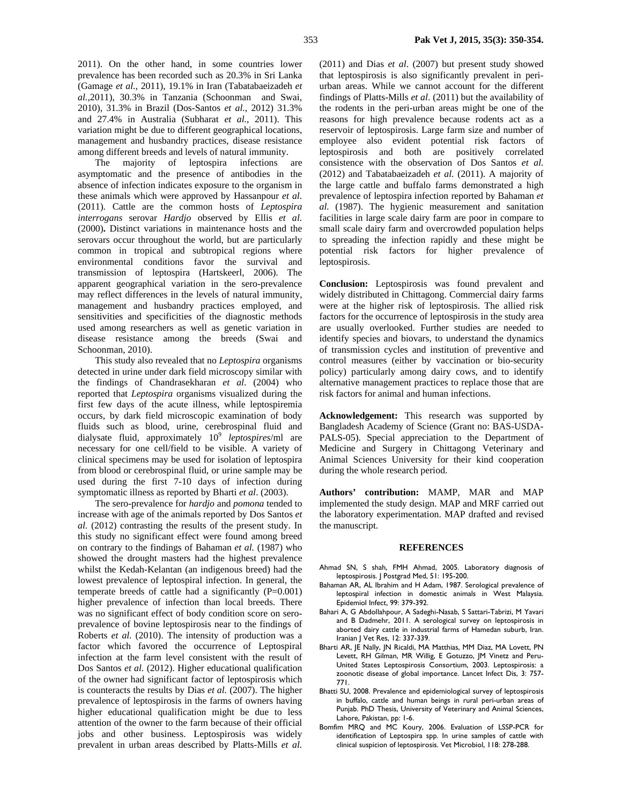2011). On the other hand, in some countries lower prevalence has been recorded such as 20.3% in Sri Lanka (Gamage *et al.*, 2011), 19.1% in Iran (Tabatabaeizadeh *et al.,*2011), 30.3% in Tanzania (Schoonman and Swai, 2010), 31.3% in Brazil (Dos-Santos *et al.*, 2012) 31.3% and 27.4% in Australia (Subharat *et al.*, 2011). This variation might be due to different geographical locations, management and husbandry practices, disease resistance among different breeds and levels of natural immunity.

The majority of leptospira infections are asymptomatic and the presence of antibodies in the absence of infection indicates exposure to the organism in these animals which were approved by Hassanpour *et al*. (2011). Cattle are the common hosts of *Leptospira interrogans* serovar *Hardjo* observed by Ellis *et al.*  (2000)**.** Distinct variations in maintenance hosts and the serovars occur throughout the world, but are particularly common in tropical and subtropical regions where environmental conditions favor the survival and transmission of leptospira (Hartskeerl, 2006). The apparent geographical variation in the sero-prevalence may reflect differences in the levels of natural immunity, management and husbandry practices employed, and sensitivities and specificities of the diagnostic methods used among researchers as well as genetic variation in disease resistance among the breeds (Swai and Schoonman, 2010).

This study also revealed that no *Leptospira* organisms detected in urine under dark field microscopy similar with the findings of Chandrasekharan *et al*. (2004) who reported that *Leptospira* organisms visualized during the first few days of the acute illness, while leptospiremia occurs, by dark field microscopic examination of body fluids such as blood, urine, cerebrospinal fluid and dialysate fluid, approximately 109 *leptospires*/ml are necessary for one cell/field to be visible. A variety of clinical specimens may be used for isolation of leptospira from blood or cerebrospinal fluid, or urine sample may be used during the first 7-10 days of infection during symptomatic illness as reported by Bharti *et al*. (2003).

The sero-prevalence for *hardjo* and *pomona* tended to increase with age of the animals reported by Dos Santos *et al.* (2012) contrasting the results of the present study. In this study no significant effect were found among breed on contrary to the findings of Bahaman *et al.* (1987) who showed the drought masters had the highest prevalence whilst the Kedah-Kelantan (an indigenous breed) had the lowest prevalence of leptospiral infection. In general, the temperate breeds of cattle had a significantly  $(P=0.001)$ higher prevalence of infection than local breeds. There was no significant effect of body condition score on seroprevalence of bovine leptospirosis near to the findings of Roberts *et al.* (2010). The intensity of production was a factor which favored the occurrence of Leptospiral infection at the farm level consistent with the result of Dos Santos *et al.* (2012). Higher educational qualification of the owner had significant factor of leptospirosis which is counteracts the results by Dias *et al.* (2007). The higher prevalence of leptospirosis in the farms of owners having higher educational qualification might be due to less attention of the owner to the farm because of their official jobs and other business. Leptospirosis was widely prevalent in urban areas described by Platts-Mills *et al.*

(2011) and Dias *et al*. (2007) but present study showed that leptospirosis is also significantly prevalent in periurban areas. While we cannot account for the different findings of Platts-Mills *et al*. (2011) but the availability of the rodents in the peri-urban areas might be one of the reasons for high prevalence because rodents act as a reservoir of leptospirosis. Large farm size and number of employee also evident potential risk factors of leptospirosis and both are positively correlated consistence with the observation of Dos Santos *et al.*  (2012) and Tabatabaeizadeh *et al.* (2011). A majority of the large cattle and buffalo farms demonstrated a high prevalence of leptospira infection reported by Bahaman *et al.* (1987). The hygienic measurement and sanitation facilities in large scale dairy farm are poor in compare to small scale dairy farm and overcrowded population helps to spreading the infection rapidly and these might be potential risk factors for higher prevalence of leptospirosis.

**Conclusion:** Leptospirosis was found prevalent and widely distributed in Chittagong. Commercial dairy farms were at the higher risk of leptospirosis. The allied risk factors for the occurrence of leptospirosis in the study area are usually overlooked. Further studies are needed to identify species and biovars, to understand the dynamics of transmission cycles and institution of preventive and control measures (either by vaccination or bio-security policy) particularly among dairy cows, and to identify alternative management practices to replace those that are risk factors for animal and human infections.

**Acknowledgement:** This research was supported by Bangladesh Academy of Science (Grant no: BAS-USDA-PALS-05). Special appreciation to the Department of Medicine and Surgery in Chittagong Veterinary and Animal Sciences University for their kind cooperation during the whole research period.

**Authors' contribution:** MAMP, MAR and MAP implemented the study design. MAP and MRF carried out the laboratory experimentation. MAP drafted and revised the manuscript.

## **REFERENCES**

- Ahmad SN, S shah, FMH Ahmad, 2005. Laboratory diagnosis of leptospirosis. J Postgrad Med, 51: 195-200.
- Bahaman AR, AL Ibrahim and H Adam, 1987. Serological prevalence of leptospiral infection in domestic animals in West Malaysia. Epidemiol Infect, 99: 379-392.
- Bahari A, G Abdollahpour, A Sadeghi-Nasab, S Sattari-Tabrizi, M Yavari and B Dadmehr, 2011. A serological survey on leptospirosis in aborted dairy cattle in industrial farms of Hamedan suburb, Iran. Iranian J Vet Res, 12: 337-339.
- Bharti AR, JE Nally, JN Ricaldi, MA Matthias, MM Diaz, MA Lovett, PN Levett, RH Gilman, MR Willig, E Gotuzzo, JM Vinetz and Peru-United States Leptospirosis Consortium, 2003. Leptospirosis: a zoonotic disease of global importance. Lancet Infect Dis, 3: 757- 771.
- Bhatti SU, 2008. Prevalence and epidemiological survey of leptospirosis in buffalo, cattle and human beings in rural peri-urban areas of Punjab. PhD Thesis, University of Veterinary and Animal Sciences, Lahore, Pakistan, pp: 1-6.
- Bomfim MRQ and MC Koury, 2006. Evaluation of LSSP-PCR for identification of Leptospira spp. In urine samples of cattle with clinical suspicion of leptospirosis. Vet Microbiol, 118: 278-288.